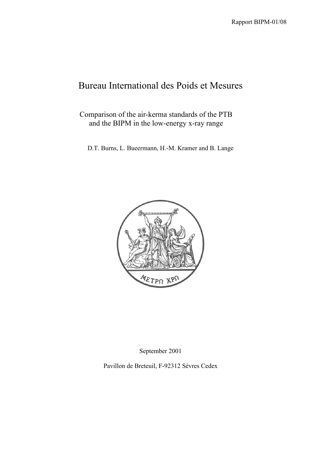# Bureau International des Poids et Mesures

Comparison of the air-kerma standards of the PTB and the BIPM in the low-energy x-ray range

D.T. Burns, L. Bueermann, H.-M. Kramer and B. Lange



September 2001

Pavillon de Breteuil, F-92312 Sèvres Cedex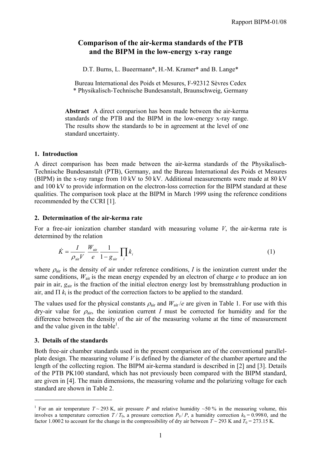# **Comparison of the air-kerma standards of the PTB and the BIPM in the low-energy x-ray range**

D.T. Burns, L. Bueermann\*, H.-M. Kramer\* and B. Lange\*

Bureau International des Poids et Mesures, F-92312 Sèvres Cedex \* Physikalisch-Technische Bundesanstalt, Braunschweig, Germany

**Abstract** A direct comparison has been made between the air-kerma standards of the PTB and the BIPM in the low-energy x-ray range. The results show the standards to be in agreement at the level of one standard uncertainty.

## **1. Introduction**

A direct comparison has been made between the air-kerma standards of the Physikalisch-Technische Bundesanstalt (PTB), Germany, and the Bureau International des Poids et Mesures (BIPM) in the x-ray range from 10 kV to 50 kV. Additional measurements were made at 80 kV and 100 kV to provide information on the electron-loss correction for the BIPM standard at these qualities. The comparison took place at the BIPM in March 1999 using the reference conditions recommended by the CCRI [1].

## **2. Determination of the air-kerma rate**

For a free-air ionization chamber standard with measuring volume *V*, the air-kerma rate is determined by the relation

$$
\dot{K} = \frac{I}{\rho_{\text{air}}V} \frac{W_{\text{air}}}{e} \frac{1}{1 - g_{\text{air}}} \prod_{i} k_{i}
$$
\n(1)

where  $\rho_{\text{air}}$  is the density of air under reference conditions, *I* is the ionization current under the same conditions,  $W_{\text{air}}$  is the mean energy expended by an electron of charge  $e$  to produce an ion pair in air, *g*air is the fraction of the initial electron energy lost by bremsstrahlung production in air, and  $\Pi$   $k_i$  is the product of the correction factors to be applied to the standard.

The values used for the physical constants  $\rho_{air}$  and  $W_{air}/e$  are given in Table 1. For use with this dry-air value for  $\rho_{air}$ , the ionization current *I* must be corrected for humidity and for the difference between the density of the air of the measuring volume at the time of measurement and the value given in the table<sup>1</sup>.

## **3. Details of the standards**

 $\overline{a}$ 

Both free-air chamber standards used in the present comparison are of the conventional parallelplate design. The measuring volume *V* is defined by the diameter of the chamber aperture and the length of the collecting region. The BIPM air-kerma standard is described in [2] and [3]. Details of the PTB PK100 standard, which has not previously been compared with the BIPM standard, are given in [4]. The main dimensions, the measuring volume and the polarizing voltage for each standard are shown in Table 2.

<sup>&</sup>lt;sup>1</sup> For an air temperature  $T \sim 293$  K, air pressure *P* and relative humidity  $\sim 50$  % in the measuring volume, this involves a temperature correction  $T/T_0$ , a pressure correction  $P_0/P$ , a humidity correction  $k_h = 0.9980$ , and the factor 1.000 2 to account for the change in the compressibility of dry air between  $T \sim 293$  K and  $T_0 = 273.15$  K.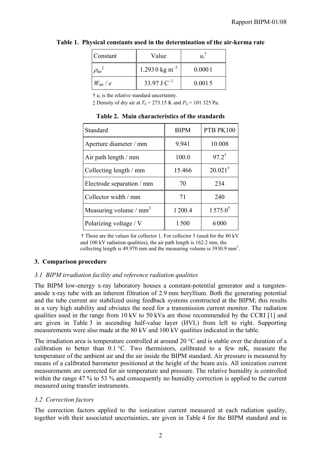| Constant                         | Value                     | $u_i$  |
|----------------------------------|---------------------------|--------|
| $\rho_{\text{air}}$ <sup>+</sup> | 1.2930 kg m <sup>-3</sup> | 0.0001 |
| $W_{\rm air}/e$                  | 33.97 J $C^{-1}$          | 0.0015 |

## **Table 1. Physical constants used in the determination of the air-kerma rate**

 $\dot{\tau}$  *u<sub>i</sub>* is the relative standard uncertainty.

 $\ddagger$  Density of dry air at  $T_0 = 273.15$  K and  $P_0 = 101$  325 Pa.

| Standard                           | <b>BIPM</b> | PTB PK100          |
|------------------------------------|-------------|--------------------|
| Aperture diameter / mm             | 9.941       | 10.008             |
| Air path length / mm               | 100.0       | $97.2^{\dagger}$   |
| Collecting length / mm             | 15.466      | $20.021^{\dagger}$ |
| Electrode separation / mm          | 70          | 234                |
| Collector width / mm               | 71          | 240                |
| Measuring volume / mm <sup>3</sup> | 1200.4      | $1575.0^{\dagger}$ |
| Polarizing voltage / V             | 1500        | 6000               |

**Table 2. Main characteristics of the standards**

† These are the values for collector 1. For collector 3 (used for the 80 kV and 100 kV radiation qualities), the air path length is 162.2 mm, the collecting length is  $49.970$  mm and the measuring volume is  $3930.9$  mm<sup>3</sup>.

## **3. Comparison procedure**

# *3.1 BIPM irradiation facility and reference radiation qualities*

The BIPM low-energy x-ray laboratory houses a constant-potential generator and a tungstenanode x-ray tube with an inherent filtration of 2.9 mm beryllium. Both the generating potential and the tube current are stabilized using feedback systems constructed at the BIPM; this results in a very high stability and obviates the need for a transmission current monitor. The radiation qualities used in the range from 10 kV to 50 kVa are those recommended by the CCRI [1] and are given in Table 3 in ascending half-value layer (HVL) from left to right. Supporting measurements were also made at the 80 kV and 100 kV qualities indicated in the table.

The irradiation area is temperature controlled at around 20 °C and is stable over the duration of a calibration to better than 0.1 °C. Two thermistors, calibrated to a few mK, measure the temperature of the ambient air and the air inside the BIPM standard. Air pressure is measured by means of a calibrated barometer positioned at the height of the beam axis. All ionization current measurements are corrected for air temperature and pressure. The relative humidity is controlled within the range 47 % to 53 % and consequently no humidity correction is applied to the current measured using transfer instruments.

# *3.2 Correction factors*

The correction factors applied to the ionization current measured at each radiation quality, together with their associated uncertainties, are given in Table 4 for the BIPM standard and in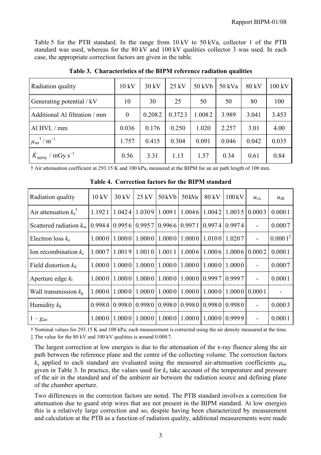Table 5 for the PTB standard. In the range from 10 kV to 50 kVa, collector 1 of the PTB standard was used, whereas for the 80 kV and 100 kV qualities collector 3 was used. In each case, the appropriate correction factors are given in the table.

| Radiation quality                                   | 10 kV        | $30 \text{ kV}$ | $25$ kV | 50 kVb | $50$ kVa | 80 kV | 100 kV |
|-----------------------------------------------------|--------------|-----------------|---------|--------|----------|-------|--------|
| Generating potential / kV                           | 10           | 30              | 25      | 50     | 50       | 80    | 100    |
| Additional Al filtration / mm                       | $\mathbf{0}$ | 0.2082          | 0.3723  | 1.0082 | 3.989    | 3.041 | 3.453  |
| Al HVL / mm                                         | 0.036        | 0.176           | 0.250   | 1.020  | 2.257    | 3.01  | 4.00   |
| $\mu$ <sub>air</sub> <sup>†</sup> / m <sup>-1</sup> | 1.757        | 0.415           | 0.304   | 0.091  | 0.046    | 0.042 | 0.035  |
| $\dot{K}_{\text{BIPM}}$ / mGy s <sup>-1</sup>       | 0.56         | 3.31            | 1.13    | 1.57   | 0.34     | 0.61  | 0.84   |

**Table 3. Characteristics of the BIPM reference radiation qualities**

† Air attenuation coefficient at 293.15 K and 100 kPa, measured at the BIPM for an air path length of 100 mm.

| Radiation quality                | 10 kV  | $30 \text{ kV}$ | $25 \text{ kV}$ | $50$ kVb | 50 kVa | 80 kV  | 100kV              | $u_{iA}$                 | $u_{iB}$            |
|----------------------------------|--------|-----------------|-----------------|----------|--------|--------|--------------------|--------------------------|---------------------|
| Air attenuation $k_a^{\dagger}$  | 1.1921 | 1.0424          | 1.0309          | 1.0091   | 1.0046 | 1.0042 | 1.0035             | 0.0003                   | 0.0001              |
| Scattered radiation $k_{\rm sc}$ | 0.9944 | 0.9956          | 0.9957          | 0.9966   | 0.9971 | 0.9974 | 0.9974             | $\overline{a}$           | 0.0007              |
| Electron loss $k_e$              | 1.0000 | 1.0000          | 1.0000          | 1.0000   | 1.0000 | 1.0100 | 1.0207             | $\overline{\phantom{0}}$ | $0.0001^{\ddagger}$ |
| Ion recombination $k_s$          | 1.0007 | 1.0019          | 1.0010          | 1.0011   | 1.0006 | 1.0006 |                    | $1.0006$   0.0002        | 0.0001              |
| Field distortion $k_d$           | 1.0000 | 1.0000          | 1.0000          | 1.0000   | 1.0000 | 1.0000 | 1.0000             |                          | 0.0007              |
| Aperture edge $k_1$              | 1.0000 | 1.0000          | 1.0000          | 1.0000   | 1.0000 | 0.9997 | 0.9997             | $\overline{a}$           | 0.0001              |
| Wall transmission $k_p$          | 1.0000 | 1.0000          | 1.0000          | 1.0000   | 1.0000 | 1.0000 | $1.0000$   0.000 1 |                          |                     |
| Humidity $k_h$                   | 0.9980 | 0.9980          | 0.9980          | 0.9980   | 0.9980 | 0.9980 | 0.9980             | $\overline{a}$           | 0.0003              |
| $1-g_{\text{air}}$               | 1.0000 | 1.0000          | 1.0000          | 1.0000   | 1.0000 | 1.0000 | 0.9999             | $\overline{a}$           | 0.0001              |

**Table 4. Correction factors for the BIPM standard**

† Nominal values for 293.15 K and 100 kPa; each measurement is corrected using the air density measured at the time. ‡ The value for the 80 kV and 100 kV qualities is around 0.000 7.

The largest correction at low energies is due to the attenuation of the x-ray fluence along the air path between the reference plane and the centre of the collecting volume. The correction factors  $k_a$  applied to each standard are evaluated using the measured air-attenuation coefficients  $\mu_{air}$ given in Table 3. In practice, the values used for *k*a take account of the temperature and pressure of the air in the standard and of the ambient air between the radiation source and defining plane of the chamber aperture.

Two differences in the correction factors are noted. The PTB standard involves a correction for attenuation due to guard strip wires that are not present in the BIPM standard. At low energies this is a relatively large correction and so, despite having been characterized by measurement and calculation at the PTB as a function of radiation quality, additional measurements were made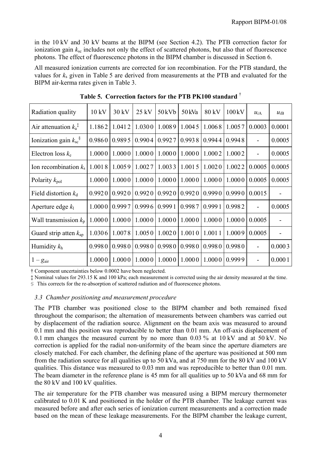in the 10 kV and 30 kV beams at the BIPM (see Section 4.2). The PTB correction factor for ionization gain  $k_{\rm sc}$  includes not only the effect of scattered photons, but also that of fluorescence photons. The effect of fluorescence photons in the BIPM chamber is discussed in Section 6.

All measured ionization currents are corrected for ion recombination. For the PTB standard, the values for *k*s given in Table 5 are derived from measurements at the PTB and evaluated for the BIPM air-kerma rates given in Table 3.

| Radiation quality                         | $10 \text{ kV}$ | $30 \text{ kV}$ | $25$ kV | $50$ kVb | 50 kVa | 80 kV  | 100kV   | $u_{iA}$ | $u_{iB}$                 |
|-------------------------------------------|-----------------|-----------------|---------|----------|--------|--------|---------|----------|--------------------------|
| Air attenuation $k_a^{\dagger}$           | 1.1862          | 1.0412          | 1.0300  | 1.0089   | 1.0045 | 1.0068 | 1.0057  | 0.0003   | 0.0001                   |
| Ionization gain $k_{\rm sc}$ <sup>§</sup> | 0.9860          | 0.9895          | 0.9904  | 0.9927   | 0.9938 | 0.9944 | 0.9948  |          | 0.0005                   |
| Electron loss $k_e$                       | 1.0000          | 1.0000          | 1.0000  | 1.0000   | 1.0000 | 1.0002 | 1.0002  |          | 0.0005                   |
| Ion recombination $k_s$                   | 1.0018          | 1.0059          | 1.0027  | 1.0033   | 1.0015 | 1.0020 | 1.0022  | 0.0005   | 0.0005                   |
| Polarity $k_{pol}$                        | 1.0000          | 1.0000          | 1.0000  | 1.0000   | 1.0000 | 1.0000 | 1.0000  | 0.0005   | 0.0005                   |
| Field distortion $k_d$                    | 0.9920          | 0.9920          | 0.9920  | 0.9920   | 0.9920 | 0.9990 | 0.99901 | 0.0015   | $\overline{\phantom{0}}$ |
| Aperture edge $k_1$                       | 1.0000          | 0.9997          | 0.9996  | 0.9991   | 0.9987 | 0.9991 | 0.9982  |          | 0.0005                   |
| Wall transmission $k_{p}$                 | 1.0000          | 1.0000          | 1.0000  | 1.0000   | 1.0000 | 1.0000 | 1.0000  | 0.0005   |                          |
| Guard strip atten $k_{\text{ap}}$         | 1.0306          | 1.0078          | 1.0050  | 1.0020   | 1.0010 | 1.0011 | 1.0009  | 0.0005   |                          |
| Humidity $k_h$                            | 0.9980          | 0.9980          | 0.9980  | 0.9980   | 0.9980 | 0.9980 | 0.9980  |          | 0.0003                   |
| $1-g_{\text{air}}$                        | 1.0000          | 1.0000          | 1.0000  | 1.0000   | 1.0000 | 1.0000 | 0.9999  |          | 0.0001                   |

**Table 5. Correction factors for the PTB PK100 standard** †

† Component uncertainties below 0.0002 have been neglected.

‡ Nominal values for 293.15 K and 100 kPa; each measurement is corrected using the air density measured at the time.

§ This corrects for the re-absorption of scattered radiation and of fluorescence photons.

#### *3.3 Chamber positioning and measurement procedure*

The PTB chamber was positioned close to the BIPM chamber and both remained fixed throughout the comparison; the alternation of measurements between chambers was carried out by displacement of the radiation source. Alignment on the beam axis was measured to around 0.1 mm and this position was reproducible to better than 0.01 mm. An off-axis displacement of 0.1 mm changes the measured current by no more than 0.03 % at 10 kV and at 50 kV. No correction is applied for the radial non-uniformity of the beam since the aperture diameters are closely matched. For each chamber, the defining plane of the aperture was positioned at 500 mm from the radiation source for all qualities up to 50 kVa, and at 750 mm for the 80 kV and 100 kV qualities. This distance was measured to 0.03 mm and was reproducible to better than 0.01 mm. The beam diameter in the reference plane is 45 mm for all qualities up to 50 kVa and 68 mm for the 80 kV and 100 kV qualities.

The air temperature for the PTB chamber was measured using a BIPM mercury thermometer calibrated to 0.01 K and positioned in the holder of the PTB chamber. The leakage current was measured before and after each series of ionization current measurements and a correction made based on the mean of these leakage measurements. For the BIPM chamber the leakage current,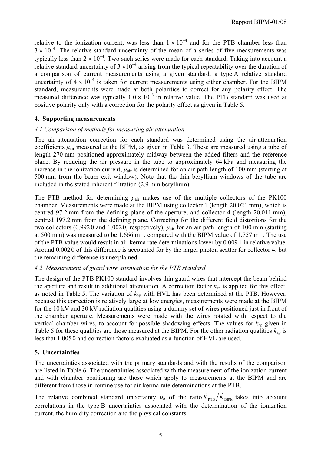relative to the ionization current, was less than  $1 \times 10^{-4}$  and for the PTB chamber less than  $3 \times 10^{-4}$ . The relative standard uncertainty of the mean of a series of five measurements was typically less than  $2 \times 10^{-4}$ . Two such series were made for each standard. Taking into account a relative standard uncertainty of  $3 \times 10^{-4}$  arising from the typical repeatability over the duration of a comparison of current measurements using a given standard, a type A relative standard uncertainty of  $4 \times 10^{-4}$  is taken for current measurements using either chamber. For the BIPM standard, measurements were made at both polarities to correct for any polarity effect. The measured difference was typically  $1.0 \times 10^{-3}$  in relative value. The PTB standard was used at positive polarity only with a correction for the polarity effect as given in Table 5.

## **4. Supporting measurements**

#### *4.1 Comparison of methods for measuring air attenuation*

The air-attenuation correction for each standard was determined using the air-attenuation coefficients  $\mu_{air}$  measured at the BIPM, as given in Table 3. These are measured using a tube of length 270 mm positioned approximately midway between the added filters and the reference plane. By reducing the air pressure in the tube to approximately 64 kPa and measuring the increase in the ionization current,  $\mu_{air}$  is determined for an air path length of 100 mm (starting at 500 mm from the beam exit window). Note that the thin beryllium windows of the tube are included in the stated inherent filtration (2.9 mm beryllium).

The PTB method for determining  $\mu_{air}$  makes use of the multiple collectors of the PK100 chamber. Measurements were made at the BIPM using collector 1 (length 20.021 mm), which is centred 97.2 mm from the defining plane of the aperture, and collector 4 (length 20.011 mm), centred 197.2 mm from the defining plane. Correcting for the different field distortions for the two collectors (0.992 0 and 1.002 0, respectively), *µ*air for an air path length of 100 mm (starting at 500 mm) was measured to be 1.666  $m^{-1}$ , compared with the BIPM value of 1.757  $m^{-1}$ . The use of the PTB value would result in air-kerma rate determinations lower by 0.009 1 in relative value. Around 0.002 0 of this difference is accounted for by the larger photon scatter for collector 4, but the remaining difference is unexplained.

#### *4.2 Measurement of guard wire attenuation for the PTB standard*

The design of the PTB PK100 standard involves thin guard wires that intercept the beam behind the aperture and result in additional attenuation. A correction factor  $k_{\text{an}}$  is applied for this effect, as noted in Table 5. The variation of *k*ap with HVL has been determined at the PTB. However, because this correction is relatively large at low energies, measurements were made at the BIPM for the 10 kV and 30 kV radiation qualities using a dummy set of wires positioned just in front of the chamber aperture. Measurements were made with the wires rotated with respect to the vertical chamber wires, to account for possible shadowing effects. The values for *k*ap given in Table 5 for these qualities are those measured at the BIPM. For the other radiation qualities  $k_{\text{an}}$  is less that 1.005 0 and correction factors evaluated as a function of HVL are used.

## **5. Uncertainties**

The uncertainties associated with the primary standards and with the results of the comparison are listed in Table 6. The uncertainties associated with the measurement of the ionization current and with chamber positioning are those which apply to measurements at the BIPM and are different from those in routine use for air-kerma rate determinations at the PTB.

The relative combined standard uncertainty  $u_c$  of the ratio  $K_{\text{PTB}} / K_{\text{BIPM}}$  takes into account correlations in the type B uncertainties associated with the determination of the ionization current, the humidity correction and the physical constants.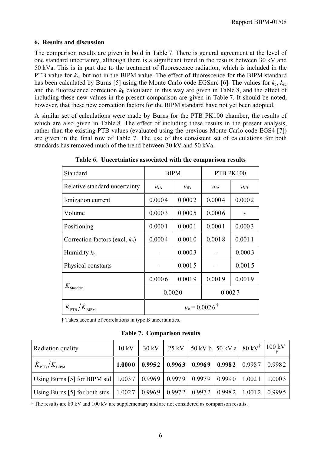## **6. Results and discussion**

The comparison results are given in bold in Table 7. There is general agreement at the level of one standard uncertainty, although there is a significant trend in the results between 30 kV and 50 kVa. This is in part due to the treatment of fluorescence radiation, which is included in the PTB value for  $k_{sc}$  but not in the BIPM value. The effect of fluorescence for the BIPM standard has been calculated by Burns [5] using the Monte Carlo code EGSnrc [6]. The values for  $k_e$ ,  $k_{sc}$ and the fluorescence correction  $k<sub>fl</sub>$  calculated in this way are given in Table 8, and the effect of including these new values in the present comparison are given in Table 7. It should be noted, however, that these new correction factors for the BIPM standard have not yet been adopted.

A similar set of calculations were made by Burns for the PTB PK100 chamber, the results of which are also given in Table 8. The effect of including these results in the present analysis, rather than the existing PTB values (evaluated using the previous Monte Carlo code EGS4 [7]) are given in the final row of Table 7. The use of this consistent set of calculations for both standards has removed much of the trend between 30 kV and 50 kVa.

| Standard                                                                   | <b>BIPM</b><br>PTB PK100 |          |          |          |  |
|----------------------------------------------------------------------------|--------------------------|----------|----------|----------|--|
| Relative standard uncertainty                                              | $u_{iA}$                 | $u_{iB}$ | $u_{iA}$ | $u_{iB}$ |  |
| Ionization current                                                         | 0.0004                   | 0.0002   | 0.0004   | 0.0002   |  |
| Volume                                                                     | 0.0003                   | 0.0005   | 0.0006   |          |  |
| Positioning                                                                | 0.0001                   | 0.0001   | 0.0001   | 0.0003   |  |
| Correction factors (excl. $k_h$ )                                          | 0.0004                   | 0.0010   | 0.0018   | 0.0011   |  |
| Humidity $k_h$                                                             |                          | 0.0003   |          | 0.0003   |  |
| Physical constants                                                         |                          | 0.0015   |          | 0.0015   |  |
|                                                                            | 0.0006                   | 0.0019   | 0.0019   | 0.0019   |  |
| $K_{\rm Standard}$                                                         |                          | 0.0020   | 0.0027   |          |  |
| $\dot{K}_{\scriptscriptstyle\rm PTB}/\dot{K}_{\scriptscriptstyle\rm RIPM}$ | $u_c = 0.0026^{\dagger}$ |          |          |          |  |

**Table 6. Uncertainties associated with the comparison results**

† Takes account of correlations in type B uncertainties.

**Table 7. Comparison results**

| Radiation quality                                                                            | 10 kV | $30 \text{ kV}$ | 25 kV   50 kV b   50 kV a   80 kV <sup>†</sup>   100 kV        |  |        |
|----------------------------------------------------------------------------------------------|-------|-----------------|----------------------------------------------------------------|--|--------|
| $\overline{K}_{\rm{PTB}}/\overline{K}_{\rm{BIPM}}$                                           |       |                 | $1.0000   0.9952   0.9963   0.9969   0.9982   0.9987   0.9982$ |  |        |
| Using Burns [5] for BIPM std   1.003 7   0.996 9   0.997 9   0.997 9   0.999 0   1.002 1     |       |                 |                                                                |  | 1.0003 |
| Using Burns [5] for both stds   1.0027   0.9969   0.9972   0.9972   0.9982   1.0012   0.9995 |       |                 |                                                                |  |        |

† The results are 80 kV and 100 kV are supplementary and are not considered as comparison results.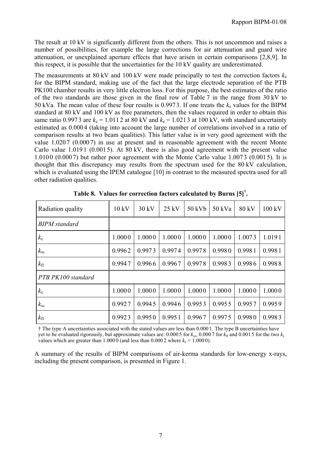The result at 10 kV is significantly different from the others. This is not uncommon and raises a number of possibilities, for example the large corrections for air attenuation and guard wire attenuation, or unexplained aperture effects that have arisen in certain comparisons [2,8,9]. In this respect, it is possible that the uncertainties for the 10 kV quality are underestimated.

The measurements at 80 kV and 100 kV were made principally to test the correction factors  $k_e$ for the BIPM standard, making use of the fact that the large electrode separation of the PTB PK100 chamber results in very little electron loss. For this purpose, the best estimates of the ratio of the two standards are those given in the final row of Table 7 in the range from 30 kV to 50 kVa. The mean value of these four results is 0.9973. If one treats the  $k_e$  values for the BIPM standard at 80 kV and 100 kV as free parameters, then the values required in order to obtain this same ratio 0.9973 are  $k_e = 1.0112$  at 80 kV and  $k_e = 1.0213$  at 100 kV, with standard uncertainty estimated as 0.000 4 (taking into account the large number of correlations involved in a ratio of comparison results at two beam qualities). This latter value is in very good agreement with the value 1.0207 (0.0007) in use at present and in reasonable agreement with the recent Monte Carlo value 1.019 1 (0.001 5). At 80 kV, there is also good agreement with the present value 1.0100 (0.000 7) but rather poor agreement with the Monte Carlo value 1.0073 (0.001 5). It is thought that this discrepancy may results from the spectrum used for the 80 kV calculation, which is evaluated using the IPEM catalogue [10] in contrast to the measured spectra used for all other radiation qualities.

| Radiation quality    | 10 kV  | $30 \text{ kV}$ | $25$ kV | 50 kVb | 50 kVa | 80 kV  | 100 kV |
|----------------------|--------|-----------------|---------|--------|--------|--------|--------|
| <b>BIPM</b> standard |        |                 |         |        |        |        |        |
| $k_{\rm e}$          | 1.0000 | 1.0000          | 1.0000  | 1.0000 | 1.0000 | 1.0073 | 1.0191 |
| $k_{\rm sc}$         | 0.9962 | 0.9973          | 0.9974  | 0.9978 | 0.9980 | 0.9981 | 0.9981 |
| $k_{\rm fl}$         | 0.9947 | 0.9966          | 0.9967  | 0.9978 | 0.9983 | 0.9986 | 0.9988 |
| PTB PK100 standard   |        |                 |         |        |        |        |        |
| $k_{\rm e}$          | 1.0000 | 1.0000          | 1.0000  | 1.0000 | 1.0000 | 1.0000 | 1.0000 |
| $k_{\rm sc}$         | 0.9927 | 0.9945          | 0.9946  | 0.9953 | 0.9955 | 0.9957 | 0.9959 |
| $k_{\rm fl}$         | 0.9923 | 0.9950          | 0.9951  | 0.9967 | 0.9975 | 0.9980 | 0.9983 |

**Table 8. Values for correction factors calculated by Burns [5]† .**

† The type A uncertainties associated with the stated values are less than 0.000 1. The type B uncertainties have yet to be evaluated rigorously, but approximate values are: 0.000 5 for  $k_{\rm sc}$ , 0.000 7 for  $k_{\rm fl}$  and 0.001 5 for the two  $k_{\rm e}$ values which are greater than  $1.0000$  (and less than  $0.0002$  where  $k_e = 1.0000$ ).

A summary of the results of BIPM comparisons of air-kerma standards for low-energy x-rays, including the present comparison, is presented in Figure 1.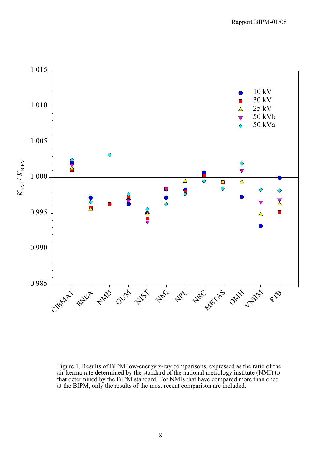

Figure 1. Results of BIPM low-energy x-ray comparisons, expressed as the ratio of the air-kerma rate determined by the standard of the national metrology institute (NMI) to that determined by the BIPM standard. For NMIs that have compared more than once at the BIPM, only the results of the most recent comparison are included.